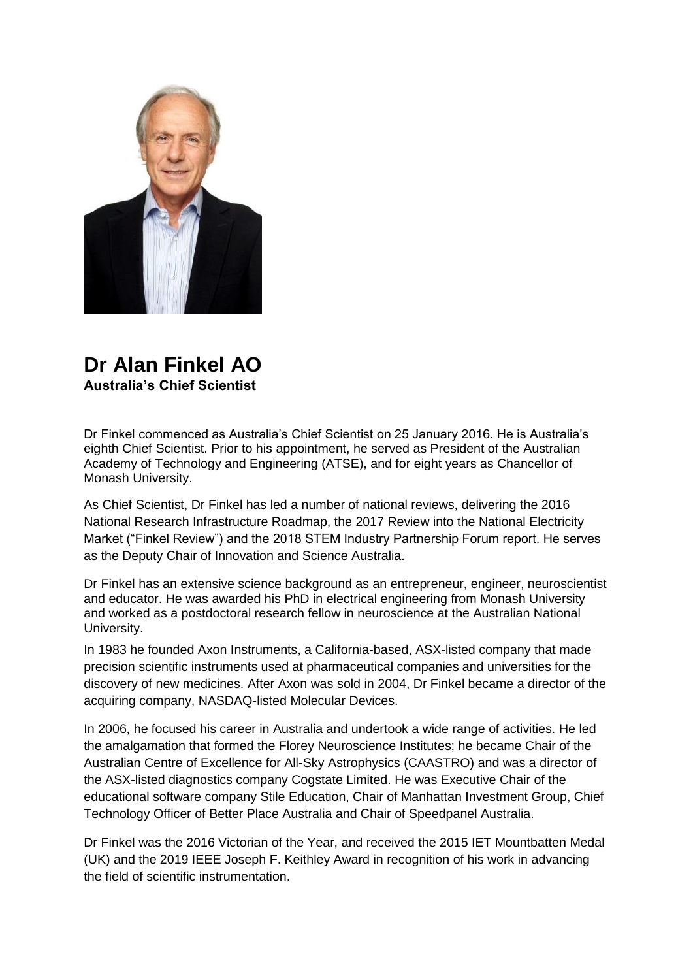

## **Dr Alan Finkel AO Australia's Chief Scientist**

Dr Finkel commenced as Australia's Chief Scientist on 25 January 2016. He is Australia's eighth Chief Scientist. Prior to his appointment, he served as President of the Australian Academy of Technology and Engineering (ATSE), and for eight years as Chancellor of Monash University.

As Chief Scientist, Dr Finkel has led a number of national reviews, delivering the 2016 National Research Infrastructure Roadmap, the 2017 Review into the National Electricity Market ("Finkel Review") and the 2018 STEM Industry Partnership Forum report. He serves as the Deputy Chair of Innovation and Science Australia.

Dr Finkel has an extensive science background as an entrepreneur, engineer, neuroscientist and educator. He was awarded his PhD in electrical engineering from Monash University and worked as a postdoctoral research fellow in neuroscience at the Australian National University.

In 1983 he founded Axon Instruments, a California-based, ASX-listed company that made precision scientific instruments used at pharmaceutical companies and universities for the discovery of new medicines. After Axon was sold in 2004, Dr Finkel became a director of the acquiring company, NASDAQ-listed Molecular Devices.

In 2006, he focused his career in Australia and undertook a wide range of activities. He led the amalgamation that formed the Florey Neuroscience Institutes; he became Chair of the Australian Centre of Excellence for All-Sky Astrophysics (CAASTRO) and was a director of the ASX-listed diagnostics company Cogstate Limited. He was Executive Chair of the educational software company Stile Education, Chair of Manhattan Investment Group, Chief Technology Officer of Better Place Australia and Chair of Speedpanel Australia.

Dr Finkel was the 2016 Victorian of the Year, and received the 2015 IET Mountbatten Medal (UK) and the 2019 IEEE Joseph F. Keithley Award in recognition of his work in advancing the field of scientific instrumentation.